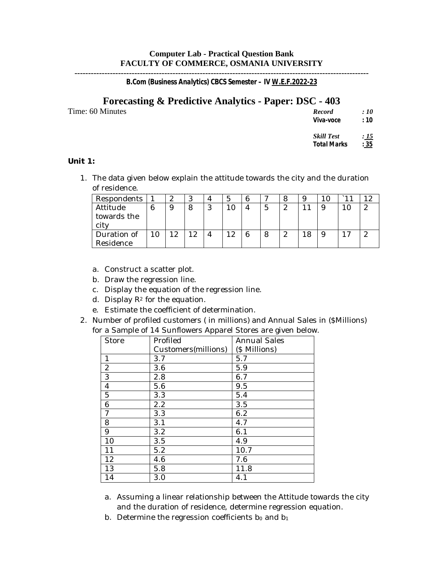# **Computer Lab - Practical Question Bank FACULTY OF COMMERCE, OSMANIA UNIVERSITY**

**------------------------------------------------------------------------------------------------------------** *B.Com (Business Analytics) CBCS Semester – IV W.E.F.2022-23*

## **Forecasting & Predictive Analytics - Paper: DSC - 403** Time: 60 Minutes

| <b>Record</b>     | : 10 |
|-------------------|------|
| Viva-voce         | : 10 |
| <b>Skill Test</b> | : 15 |

*Total Marks : 35*

### **Unit 1:**

1. The data given below explain the attitude towards the city and the duration of residence.

| Respondents | 2 | $\cdot$ |   |    |   |         |   |  |
|-------------|---|---------|---|----|---|---------|---|--|
| Attitude    | 9 |         | റ |    |   | ົ<br>∼  | 9 |  |
| towards the |   |         |   |    |   |         |   |  |
| city        |   |         |   |    |   |         |   |  |
| Duration of | ິ | 19      |   | 12 | 6 | ິ<br>ىم | 9 |  |
| Residence   |   |         |   |    |   |         |   |  |

- a. Construct a scatter plot.
- b. Draw the regression line.
- c. Display the equation of the regression line.
- d. Display  $\mathbb{R}^2$  for the equation.
- e. Estimate the coefficient of determination.
- 2. Number of profiled customers ( in millions) and Annual Sales in (\$Millions) for a Sample of 14 Sunflowers Apparel Stores are given below.

| <b>Store</b>     | Profiled            | <b>Annual Sales</b> |
|------------------|---------------------|---------------------|
|                  | Customers(millions) | (\$ Millions)       |
| $\mathbf{1}$     | 3.7                 | 5.7                 |
| $\boldsymbol{2}$ | 3.6                 | 5.9                 |
| $\overline{3}$   | 2.8                 | 6.7                 |
| $\boldsymbol{4}$ | 5.6                 | 9.5                 |
| $\overline{5}$   | 3.3                 | 5.4                 |
| $\boldsymbol{6}$ | 2.2                 | 3.5                 |
| $\overline{7}$   | 3.3                 | 6.2                 |
| 8                | 3.1                 | 4.7                 |
| 9                | 3.2                 | 6.1                 |
| 10               | 3.5                 | 4.9                 |
| 11               | 5.2                 | 10.7                |
| 12               | 4.6                 | 7.6                 |
| 13               | 5.8                 | 11.8                |
| 14               | 3.0                 | 4.1                 |

- a. Assuming a linear relationship between the Attitude towards the city and the duration of residence, determine regression equation.
- b. Determine the regression coefficients  $b_0$  and  $b_1$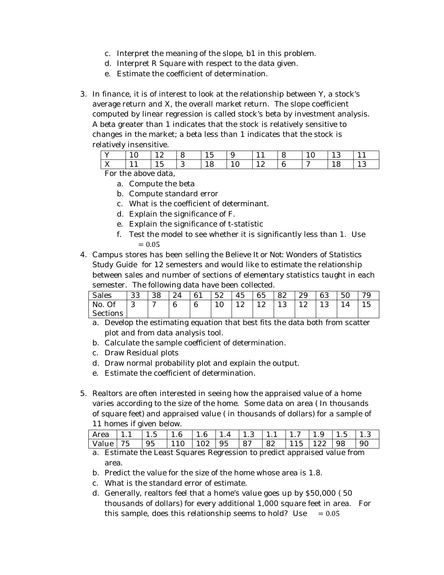- c. Interpret the meaning of the slope, b1 in this problem.
- d. Interpret R Square with respect to the data given.
- e. Estimate the coefficient of determination.
- 3. In finance, it is of interest to look at the relationship between Y, a stock's average return and X, the overall market return. The slope coefficient computed by linear regression is called stock's beta by investment analysis. A beta greater than 1 indicates that the stock is relatively sensitive to changes in the market; a beta less than 1 indicates that the stock is relatively insensitive.

|                           | 12        | $\overline{8}$ | 15 | -9       |                                                                   | - 18           | $\vert$ 10 | $\vert$ 13 |  |
|---------------------------|-----------|----------------|----|----------|-------------------------------------------------------------------|----------------|------------|------------|--|
| $\mathbf{v}$<br>$\Lambda$ | 15<br>1 U |                | 18 | $10^{-}$ | $\begin{array}{c} \begin{array}{c} \end{array} \end{array}$<br>⊥∼ | $\overline{a}$ | $\sqrt{7}$ |            |  |

For the above data,

- a. Compute the beta
- b. Compute standard error
- c. What is the coefficient of determinant.
- d. Explain the significance of F.
- e. Explain the significance of t-statistic
- f. Test the model to see whether it is significantly less than 1. Use  $= 0.05.$
- 4. Campus stores has been selling the *Believe It or Not: Wonders of Statistics Study Guide* for 12 semesters and would like to estimate the relationship between sales and number of sections of elementary statistics taught in each semester. The following data have been collected.

| <b>Sales</b> | ററ<br>ບບ | 38     | ∼≖ | 61 | 52 | 45 | 65 | 82 | 29 | 63 | 50 | $\sim$ |
|--------------|----------|--------|----|----|----|----|----|----|----|----|----|--------|
| Of<br>No.    | ີ        | $\sim$ | 6  | 6  | ιv | ⊥ん | ⊥ん | ⊥◡ | ⊥ん | ⊥◡ |    | ∽      |
| Sections     |          |        |    |    |    |    |    |    |    |    |    |        |

- a. Develop the estimating equation that best fits the data both from scatter plot and from data analysis tool.
- b. Calculate the sample coefficient of determination.
- c. Draw Residual plots
- d. Draw normal probability plot and explain the output.
- e. Estimate the coefficient of determination.
- 5. Realtors are often interested in seeing how the appraised value of a home varies according to the size of the home. Some data on area ( In thousands of square feet) and appraised value ( in thousands of dollars) for a sample of 11 homes if given below.

| Area   1.1   1.5   1.6   1.6   1.4   1.3   1.1   1.7   1.9   1.5 |  |  |  |  |  |  |
|------------------------------------------------------------------|--|--|--|--|--|--|
| Value 75                                                         |  |  |  |  |  |  |

a. Estimate the Least Squares Regression to predict appraised value from area.

- b. Predict the value for the size of the home whose area is 1.8.
- c. What is the standard error of estimate.
- d. Generally, realtors feel that a home's value goes up by \$50,000 ( 50 thousands of dollars) for every additional 1,000 square feet in area. For this sample, does this relationship seems to hold? Use  $= 0.05$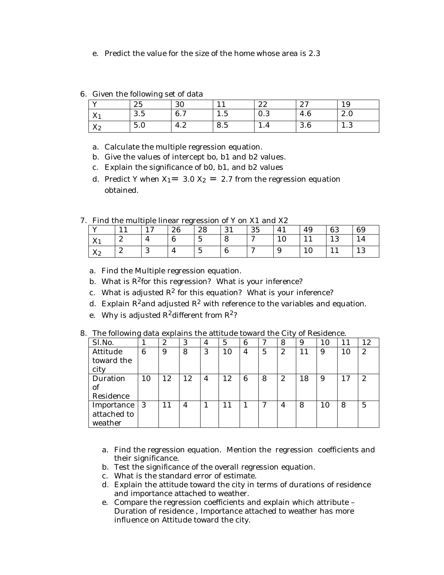e. Predict the value for the size of the home whose area is 2.3

|  |  |  | 6. Given the following set of data |  |  |
|--|--|--|------------------------------------|--|--|
|--|--|--|------------------------------------|--|--|

| $\mathbf{x}$                | 25  | 30                |                       | ററ<br>66 | $\Omega$<br>$\sim$ 1 | 19   |
|-----------------------------|-----|-------------------|-----------------------|----------|----------------------|------|
| $\mathbf{v}$<br>$\Lambda_1$ | 3.5 | 6.7               | ∽<br>1.J              | U.S      | 4.6                  | 2.0  |
| XZ.<br>X <sub>2</sub>       | 5.0 | $\epsilon$<br>4.2 | $\overline{a}$<br>8.5 | .        | റ<br>v.v             | 1. J |

- a. Calculate the multiple regression equation.
- b. Give the values of intercept bo, b1 and b2 values.
- c. Explain the significance of b0, b1, and b2 values
- d. Predict Y when  $X_1 = 3.0 X_2 = 2.7$  from the regression equation obtained.

7. Find the multiple linear regression of Y on X1 and X2

| . .                                  | <u>t ma dio mandono mnodi rogrossioni or i on rii dha riw</u> |        |    |         |                  |          |        |     |    |     |  |  |
|--------------------------------------|---------------------------------------------------------------|--------|----|---------|------------------|----------|--------|-----|----|-----|--|--|
| $\mathbf{r}$                         |                                                               | $\sim$ | 26 | 28      | $\Omega$ 1<br>◡▴ | つに<br>ΩJ |        | 49  | 63 | 69  |  |  |
| $\overline{\phantom{a}}$<br>$\Delta$ | ∼                                                             |        |    | $\cdot$ | O                | $\sim$   | ⊥∪     |     | ⊥◡ | 14  |  |  |
| $\overline{ }$<br>: O<br>୵⊾∠         | ∼                                                             |        | ı  | $\cdot$ |                  | $\sim$   | ◟<br>◡ | 1 V |    | ⊥ ∪ |  |  |

- a. Find the Multiple regression equation.
- b. What is  $R^2$  for this regression? What is your inference?
- c. What is adjusted  $R^2$  for this equation? What is your inference?
- d. Explain  $\mathbb{R}^2$  and adjusted  $\mathbb{R}^2$  with reference to the variables and equation.
- e. Why is adjusted  $R^2$ different from  $R^2$ ?

8. The following data explains the attitude toward the City of Residence.

| Sl.No.      |    | $\overline{c}$ | 3  | $\overline{4}$ | 5  | 6              | 7 | 8                | 9  | 10 | 11 | 12               |
|-------------|----|----------------|----|----------------|----|----------------|---|------------------|----|----|----|------------------|
| Attitude    | 6  | 9              | 8  | 3              | 10 | $\overline{4}$ | 5 | $\boldsymbol{2}$ | 11 | 9  | 10 | $\boldsymbol{2}$ |
| toward the  |    |                |    |                |    |                |   |                  |    |    |    |                  |
| city        |    |                |    |                |    |                |   |                  |    |    |    |                  |
| Duration    | 10 | 12             | 12 | $\overline{4}$ | 12 | 6              | 8 | $\mathbf{z}$     | 18 | 9  | 17 | $\boldsymbol{2}$ |
| of          |    |                |    |                |    |                |   |                  |    |    |    |                  |
| Residence   |    |                |    |                |    |                |   |                  |    |    |    |                  |
| Importance  | -3 | 11             | 4  | 1              | 11 |                |   | 4                | 8  | 10 | 8  | 5                |
| attached to |    |                |    |                |    |                |   |                  |    |    |    |                  |
| weather     |    |                |    |                |    |                |   |                  |    |    |    |                  |

- a. Find the regression equation. Mention the regression coefficients and their significance.
- b. Test the significance of the overall regression equation.
- c. What is the standard error of estimate.
- d. Explain the attitude toward the city in terms of durations of residence and importance attached to weather.
- e. Compare the regression coefficients and explain which attribute Duration of residence , Importance attached to weather has more influence on Attitude toward the city.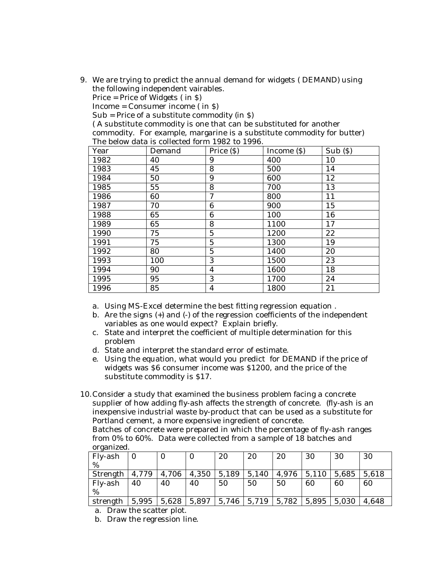9. We are trying to predict the annual demand for widgets ( DEMAND) using the following independent vairables.

Price = Price of Widgets ( in \$)

Income = Consumer income ( in \$)

Sub = Price of a substitute commodity (in \$)

( A substitute commodity is one that can be substituted for another commodity. For example, margarine is a substitute commodity for butter) The below data is collected form 1982 to 1996.

| Year | Demand | Price $(S)$     | Income $(S)$ | $Sub($ s) |
|------|--------|-----------------|--------------|-----------|
| 1982 | 40     | 9               | 400          | 10        |
| 1983 | 45     | 8               | 500          | 14        |
| 1984 | 50     | 9               | 600          | 12        |
| 1985 | 55     | 8               | 700          | 13        |
| 1986 | 60     | 7               | 800          | 11        |
| 1987 | 70     | $6\phantom{1}6$ | 900          | 15        |
| 1988 | 65     | 6               | 100          | 16        |
| 1989 | 65     | 8               | 1100         | 17        |
| 1990 | 75     | $\overline{5}$  | 1200         | 22        |
| 1991 | 75     | $\overline{5}$  | 1300         | 19        |
| 1992 | 80     | $\overline{5}$  | 1400         | 20        |
| 1993 | 100    | 3               | 1500         | 23        |
| 1994 | 90     | 4               | 1600         | 18        |
| 1995 | 95     | 3               | 1700         | 24        |
| 1996 | 85     | 4               | 1800         | 21        |

a. Using MS-Excel determine the best fitting regression equation .

- b. Are the signs (+) and (-) of the regression coefficients of the independent variables as one would expect? Explain briefly.
- c. State and interpret the coefficient of multiple determination for this problem
- d. State and interpret the standard error of estimate.
- e. Using the equation, what would you predict for DEMAND if the price of widgets was \$6 consumer income was \$1200, and the price of the substitute commodity is \$17.
- 10.Consider a study that examined the business problem facing a concrete supplier of how adding fly-ash affects the strength of concrete. (fly-ash is an inexpensive industrial waste by-product that can be used as a substitute for Portland cement, a more expensive ingredient of concrete.

Batches of concrete were prepared in which the percentage of fly-ash ranges from 0% to 60%. Data were collected from a sample of 18 batches and organized.

| Fly-ash            | $\Omega$ | $\mathbf{0}$  | O             | 20 | 20    | 20                              | 30                  | 30 | -30     |
|--------------------|----------|---------------|---------------|----|-------|---------------------------------|---------------------|----|---------|
| %                  |          |               |               |    |       |                                 |                     |    |         |
| Strength $ 4,779 $ |          | 4,706         | $4,350$ 5,189 |    | 5,140 |                                 | $4,976$ 5,110 5,685 |    | 1,5,618 |
| Fly-ash            | 40       | 40            | 40            | 50 | 50    | 50                              | 60                  | 60 | -60     |
| %                  |          |               |               |    |       |                                 |                     |    |         |
| strength           |          | $5,995$ 5.628 |               |    |       | $5,897$   5,746   5,719   5,782 | $5,895$ 5,030       |    | 4.648   |

a. Draw the scatter plot.

b. Draw the regression line.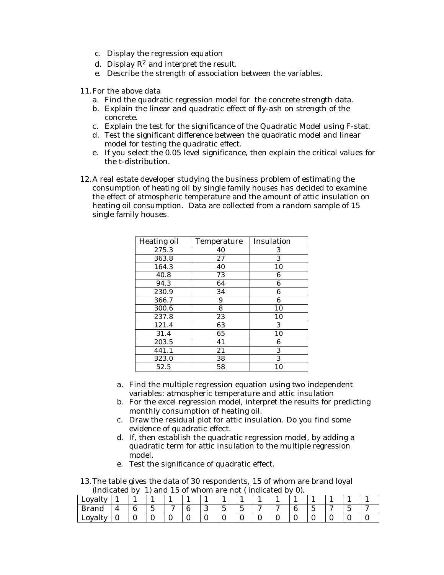- c. Display the regression equation
- d. Display  $\mathbb{R}^2$  and interpret the result.
- e. Describe the strength of association between the variables.
- 11.For the above data
	- a. Find the quadratic regression model for the concrete strength data.
	- b. Explain the linear and quadratic effect of fly-ash on strength of the concrete.
	- c. Explain the test for the significance of the Quadratic Model using F-stat.
	- d. Test the significant difference between the quadratic model and linear model for testing the quadratic effect.
	- e. If you select the 0.05 level significance, then explain the critical values for the t-distribution.
- 12.A real estate developer studying the business problem of estimating the consumption of heating oil by single family houses has decided to examine the effect of atmospheric temperature and the amount of attic insulation on heating oil consumption. Data are collected from a random sample of 15 single family houses.

| Heating oil | Temperature | Insulation |
|-------------|-------------|------------|
| 275.3       | 40          | 3          |
| 363.8       | 27          | 3          |
| 164.3       | 40          | 10         |
| 40.8        | 73          | 6          |
| 94.3        | 64          | 6          |
| 230.9       | 34          | 6          |
| 366.7       | 9           | 6          |
| 300.6       | 8           | 10         |
| 237.8       | 23          | 10         |
| 121.4       | 63          | 3          |
| 31.4        | 65          | 10         |
| 203.5       | 41          | 6          |
| 441.1       | 21          | 3          |
| 323.0       | 38          | 3          |
| 52.5        | 58          | 10         |

- a. Find the multiple regression equation using two independent variables: atmospheric temperature and attic insulation
- b. For the excel regression model, interpret the results for predicting monthly consumption of heating oil.
- c. Draw the residual plot for attic insulation. Do you find some evidence of quadratic effect.
- d. If, then establish the quadratic regression model, by adding a quadratic term for attic insulation to the multiple regression model.
- e. Test the significance of quadratic effect.

13.The table gives the data of 30 respondents, 15 of whom are brand loyal (Indicated by 1) and 15 of whom are not ( indicated by 0).

| Loyalty      |  |        |                       |  |         |                                  |                       |        |  |        |   |
|--------------|--|--------|-----------------------|--|---------|----------------------------------|-----------------------|--------|--|--------|---|
| <b>Brand</b> |  | -<br>∽ | $\tilde{\phantom{a}}$ |  | $\cdot$ | -<br>$\overline{ }$<br>$\bullet$ | $\tilde{\phantom{a}}$ | $\sim$ |  | $\sim$ | - |
| Loyalty      |  |        |                       |  |         |                                  |                       |        |  |        |   |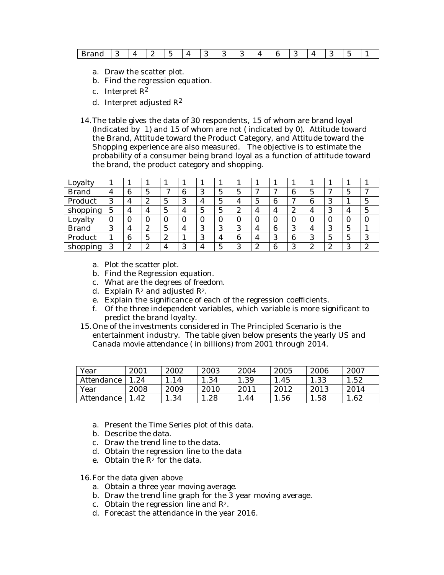| $-$<br>$J$ no no<br>∼<br>$\cdots$<br>. . |  |  |  |  |
|------------------------------------------|--|--|--|--|
|------------------------------------------|--|--|--|--|

- a. Draw the scatter plot.
- b. Find the regression equation.
- c. Interpret R<sup>2</sup>
- d. Interpret adjusted  $\mathbb{R}^2$
- 14.The table gives the data of 30 respondents, 15 of whom are brand loyal (Indicated by 1) and 15 of whom are not ( indicated by 0). Attitude toward the Brand, Attitude toward the Product Category, and Attitude toward the Shopping experience are also measured. The objective is to estimate the probability of a consumer being brand loyal as a function of attitude toward the brand, the product category and shopping.

| Loyalty      |                |        |        |              |                |         |    |          |                       |   |                  |                  |          |   |              |
|--------------|----------------|--------|--------|--------------|----------------|---------|----|----------|-----------------------|---|------------------|------------------|----------|---|--------------|
| <b>Brand</b> | 4              | 6      | 5      | $\mathbf{r}$ | 6              | റ<br>C. | 5. | 5        | $\tilde{\phantom{a}}$ | ⇁ | 6                | 5                |          | G |              |
| Product      | 3              | 4      | 2      | 5            | 3              | 4       |    | 4        | $\overline{5}$        | 6 | ∼                | 6                | റ<br>IJ  |   | 5            |
| shopping     | 5              | 4      | 4      | 5            | 4              | 5       | 5. | 2        | 4                     | 4 | $\boldsymbol{2}$ | 4                |          |   | 5            |
| Loyalty      |                |        | O      | 0            | 0              |         |    | $\Omega$ | $\theta$              | 0 | 0                |                  |          |   |              |
| <b>Brand</b> | $\Omega$<br>C, | 4      | 2      | 5            | $\overline{4}$ | っ<br>ъD |    | 3        | 4                     | 6 | 3                | 4                |          | G |              |
| Product      |                | 6      | 5      | 2            |                | っ<br>Ő. |    | 6        | 4                     | 3 | 6                | 3                | 5        | 5 | 3            |
| shopping     | ∩              | 9<br>∼ | っ<br>L | 4            | 3              |         |    | 3        | 2<br>∼                | 6 | 3                | $\boldsymbol{2}$ | ∍<br>تما | റ | $\mathbf{2}$ |

- a. Plot the scatter plot.
- b. Find the Regression equation.
- c. What are the degrees of freedom.
- d. Explain  $\mathbb{R}^2$  and adjusted  $\mathbb{R}^2$ .
- e. Explain the significance of each of the regression coefficients.
- f. Of the three independent variables, which variable is more significant to predict the brand loyalty.
- 15.One of the investments considered in The Principled Scenario is the entertainment industry. The table given below presents the yearly US and Canada movie attendance ( in billions) from 2001 through 2014.

| Year       | 2001 | 2002 | 2003 | 2004 | 2005 | 2006 | 2007 |
|------------|------|------|------|------|------|------|------|
| Attendance | 24   | 14   | .34  | 1.39 | .45  | 1.33 | .52  |
| Year       | 2008 | 2009 | 2010 | 2011 | 2012 | 2013 | 2014 |
| Attendance | 42   | .34  | .28  | 44   | 1.56 | .58  | .62  |

- a. Present the Time Series plot of this data.
- b. Describe the data.
- c. Draw the trend line to the data.
- d. Obtain the regression line to the data
- e. Obtain the  $R^2$  for the data.

16.For the data given above

- a. Obtain a three year moving average.
- b. Draw the trend line graph for the 3 year moving average.
- c. Obtain the regression line and R2.
- d. Forecast the attendance in the year 2016.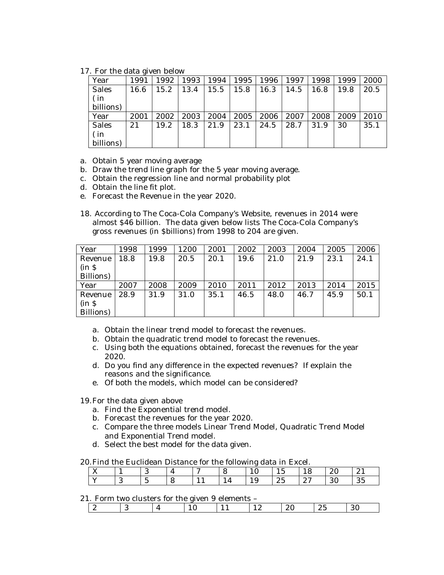17. For the data given below

| Year         | 1991 | 1992 | 1993 | 1994 | 1995 | 1996 | 1997 | 1998 | 1999 | 2000 |
|--------------|------|------|------|------|------|------|------|------|------|------|
| <b>Sales</b> | 16.6 | 5.2  | 13.4 | 15.5 | 15.8 | 16.3 | 14.5 | 16.8 | 19.8 | 20.5 |
| ( in         |      |      |      |      |      |      |      |      |      |      |
| billions)    |      |      |      |      |      |      |      |      |      |      |
| Year         | 2001 | 2002 | 2003 | 2004 | 2005 | 2006 | 2007 | 2008 | 2009 | 2010 |
| <b>Sales</b> | 21   | 19.2 | 18.3 | 21.9 | 23.1 | 24.5 | 28.7 | 31.9 | 30   | 35.1 |
| ( in         |      |      |      |      |      |      |      |      |      |      |
| billions)    |      |      |      |      |      |      |      |      |      |      |

a. Obtain 5 year moving average

- b. Draw the trend line graph for the 5 year moving average.
- c. Obtain the regression line and normal probability plot
- d. Obtain the line fit plot.
- e. Forecast the Revenue in the year 2020.
- 18. According to The Coca-Cola Company's Website, revenues in 2014 were almost \$46 billion. The data given below lists The Coca-Cola Company's gross revenues (in \$billions) from 1998 to 204 are given.

| Year      | 1998 | 1999 | 1200 | 2001 | 2002 | 2003 | 2004 | 2005 | 2006 |
|-----------|------|------|------|------|------|------|------|------|------|
| Revenue   | 18.8 | 19.8 | 20.5 | 20.1 | 19.6 | 21.0 | 21.9 | 23.1 | 24.1 |
| $(in \S$  |      |      |      |      |      |      |      |      |      |
| Billions) |      |      |      |      |      |      |      |      |      |
| Year      | 2007 | 2008 | 2009 | 2010 | 2011 | 2012 | 2013 | 2014 | 2015 |
| Revenue   | 28.9 | 31.9 | 31.0 | 35.1 | 46.5 | 48.0 | 46.7 | 45.9 | 50.1 |
| $(in \S$  |      |      |      |      |      |      |      |      |      |
| Billions) |      |      |      |      |      |      |      |      |      |

- a. Obtain the linear trend model to forecast the revenues.
- b. Obtain the quadratic trend model to forecast the revenues.
- c. Using both the equations obtained, forecast the revenues for the year 2020.
- d. Do you find any difference in the expected revenues? If explain the reasons and the significance.
- e. Of both the models, which model can be considered?

19.For the data given above

- a. Find the Exponential trend model.
- b. Forecast the revenues for the year 2020.
- c. Compare the three models Linear Trend Model, Quadratic Trend Model and Exponential Trend model.
- d. Select the best model for the data given.

#### 20.Find the Euclidean Distance for the following data in Excel.

| $\sim$ $\sim$<br>77 |     |             |   | $\tilde{\phantom{a}}$ |                |     | -<br>⊥∪       | - 10            | $\Omega$<br>$\sim$ | $\sim$<br>$\sim$ 1    |
|---------------------|-----|-------------|---|-----------------------|----------------|-----|---------------|-----------------|--------------------|-----------------------|
| . .                 | . . | -<br>∽<br>ັ | ັ |                       | $\overline{ }$ | 1 v | $\Omega$<br>ົ | $\Omega$<br>، ب | 30                 | $\Omega$ $\sim$<br>◡◡ |

## 21. Form two clusters for the given 9 elements -

| $-$ |  |  | ⊥ <i>l</i> ∼ | $\sim$ |  |
|-----|--|--|--------------|--------|--|
|     |  |  |              |        |  |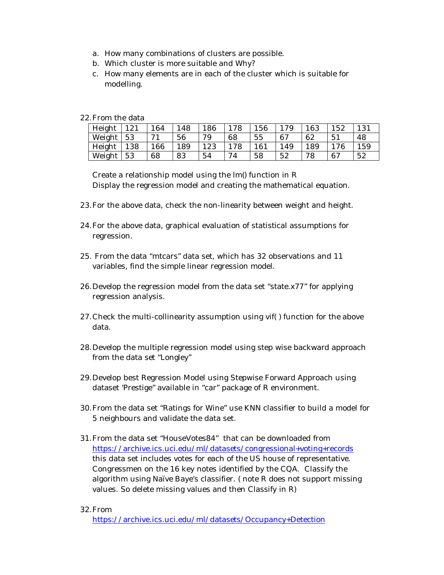- a. How many combinations of clusters are possible.
- b. Which cluster is more suitable and Why?
- c. How many elements are in each of the cluster which is suitable for modelling.

22.From the data

| Height | 191 | 164 | .48 | 186 | 78  | 156 | 179 | 163 | 152 | 131 |
|--------|-----|-----|-----|-----|-----|-----|-----|-----|-----|-----|
| Weight | 53  | 71  | 56  | 79  | 68  | 55  | -67 | 62  | 51  | 48  |
| Height | 138 | 166 | 189 | 123 | 178 | 161 | .49 | 189 | 76  | 159 |
| Weight | 53  | 68  | 83  | 54  | 74  | 58  | 52  | 78  | 67  | 52  |

Create a relationship model using the lm() function in R Display the regression model and creating the mathematical equation.

- 23.For the above data, check the non-linearity between weight and height.
- 24.For the above data, graphical evaluation of statistical assumptions for regression.
- 25. From the data "mtcars" data set, which has 32 observations and 11 variables, find the simple linear regression model.
- 26.Develop the regression model from the data set "state.x77" for applying regression analysis.
- 27.Check the multi-collinearity assumption using vif( ) function for the above data.
- 28.Develop the multiple regression model using step wise backward approach from the data set "Longley"
- 29.Develop best Regression Model using Stepwise Forward Approach using dataset 'Prestige" available in "car" package of R environment.
- 30.From the data set "Ratings for Wine" use KNN classifier to build a model for 5 neighbours and validate the data set.
- 31.From the data set "HouseVotes84" that can be downloaded from https://archive.ics.uci.edu/ml/datasets/congressional+voting+records this data set includes votes for each of the US house of representative. Congressmen on the 16 key notes identified by the CQA. Classify the algorithm using Naïve Baye's classifier. ( note R does not support missing values. So delete missing values and then Classify in R)

### 32.From

https://archive.ics.uci.edu/ml/datasets/Occupancy+Detection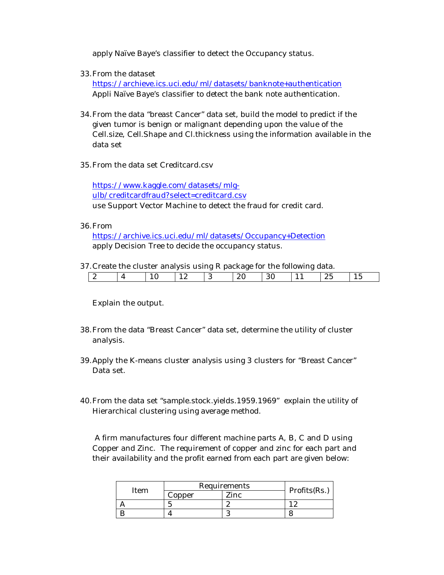apply Naïve Baye's classifier to detect the Occupancy status.

33.From the dataset

https://archieve.ics.uci.edu/ml/datasets/banknote+authentication Appli Naïve Baye's classifier to detect the bank note authentication.

- 34.From the data "breast Cancer" data set, build the model to predict if the given tumor is benign or malignant depending upon the value of the Cell.size, Cell.Shape and Cl.thickness using the information available in the data set
- 35.From the data set Creditcard.csv

https://www.kaggle.com/datasets/mlgulb/creditcardfraud?select=creditcard.csv use Support Vector Machine to detect the fraud for credit card.

36.From

https://archive.ics.uci.edu/ml/datasets/Occupancy+Detection apply Decision Tree to decide the occupancy status.

37.Create the cluster analysis using R package for the following data.

|               |  | --        | --<br>. . | -   | .   |               |           |
|---------------|--|-----------|-----------|-----|-----|---------------|-----------|
| . .<br>$\sim$ |  | --<br>--- |           | . . | . . | л.<br>~<br>__ | . .<br>__ |
|               |  |           |           |     |     |               |           |

Explain the output.

- 38.From the data "Breast Cancer" data set, determine the utility of cluster analysis.
- 39.Apply the K-means cluster analysis using 3 clusters for "Breast Cancer" Data set.
- 40.From the data set "sample.stock.yields.1959.1969" explain the utility of Hierarchical clustering using average method.

A firm manufactures four different machine parts A, B, C and D using Copper and Zinc. The requirement of copper and zinc for each part and their availability and the profit earned from each part are given below:

| Item |        | Requirements | Profits(Rs.) |  |  |
|------|--------|--------------|--------------|--|--|
|      | Copper | Zinc         |              |  |  |
|      |        | c<br>ົ       |              |  |  |
|      |        |              |              |  |  |